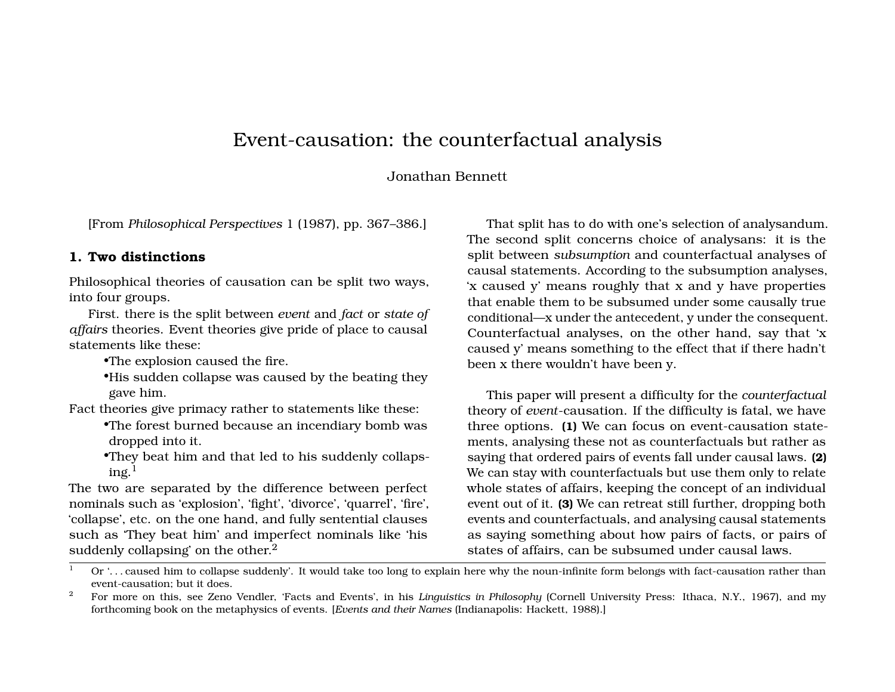# Event-causation: the counterfactual analysis

## Jonathan Bennett

[From *Philosophical Perspectives* 1 (1987), pp. 367–386.]

### **1. Two distinctions**

Philosophical theories of causation can be split two ways, into four groups.

First. there is the split between *event* and *fact* or *state of affairs* theories. Event theories give pride of place to causal statements like these:

•The explosion caused the fire.

•His sudden collapse was caused by the beating they gave him.

Fact theories give primacy rather to statements like these:

•The forest burned because an incendiary bomb was dropped into it.

•They beat him and that led to his suddenly collaps $ine<sup>1</sup>$ 

The two are separated by the difference between perfect nominals such as 'explosion', 'fight', 'divorce', 'quarrel', 'fire', 'collapse', etc. on the one hand, and fully sentential clauses such as 'They beat him' and imperfect nominals like 'his suddenly collapsing' on the other.<sup>2</sup>

That split has to do with one's selection of analysandum. The second split concerns choice of analysans: it is the split between *subsumption* and counterfactual analyses of causal statements. According to the subsumption analyses, 'x caused y' means roughly that x and y have properties that enable them to be subsumed under some causally true conditional—x under the antecedent, y under the consequent. Counterfactual analyses, on the other hand, say that 'x caused y' means something to the effect that if there hadn't been x there wouldn't have been y.

This paper will present a difficulty for the *counterfactual* theory of *event*-causation. If the difficulty is fatal, we have three options. **(1)** We can focus on event-causation statements, analysing these not as counterfactuals but rather as saying that ordered pairs of events fall under causal laws. **(2)** We can stay with counterfactuals but use them only to relate whole states of affairs, keeping the concept of an individual event out of it. **(3)** We can retreat still further, dropping both events and counterfactuals, and analysing causal statements as saying something about how pairs of facts, or pairs of states of affairs, can be subsumed under causal laws.

<sup>&</sup>lt;sup>1</sup> Or '... caused him to collapse suddenly'. It would take too long to explain here why the noun-infinite form belongs with fact-causation rather than event-causation; but it does.

<sup>2</sup> For more on this, see Zeno Vendler, 'Facts and Events', in his *Linguistics in Philosophy* (Cornell University Press: Ithaca, N.Y., 1967), and my forthcoming book on the metaphysics of events. [*Events and their Names* (Indianapolis: Hackett, 1988).]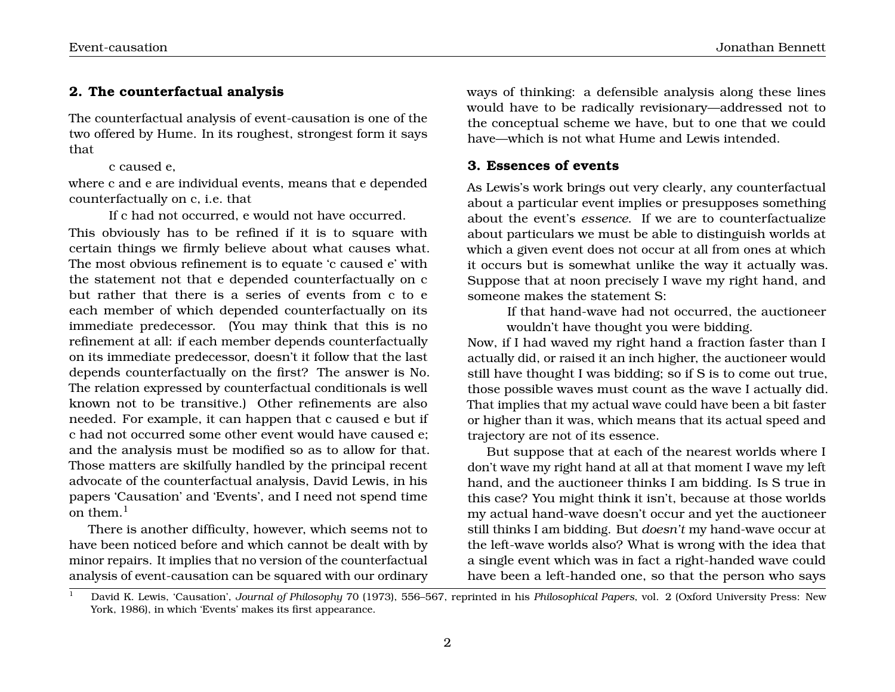#### **2. The counterfactual analysis**

The counterfactual analysis of event-causation is one of the two offered by Hume. In its roughest, strongest form it says that

c caused e,

where c and e are individual events, means that e depended counterfactually on c, i.e. that

If c had not occurred, e would not have occurred.

This obviously has to be refined if it is to square with certain things we firmly believe about what causes what. The most obvious refinement is to equate 'c caused e' with the statement not that e depended counterfactually on c but rather that there is a series of events from c to e each member of which depended counterfactually on its immediate predecessor. (You may think that this is no refinement at all: if each member depends counterfactually on its immediate predecessor, doesn't it follow that the last depends counterfactually on the first? The answer is No. The relation expressed by counterfactual conditionals is well known not to be transitive.) Other refinements are also needed. For example, it can happen that c caused e but if c had not occurred some other event would have caused e; and the analysis must be modified so as to allow for that. Those matters are skilfully handled by the principal recent advocate of the counterfactual analysis, David Lewis, in his papers 'Causation' and 'Events', and I need not spend time on them. $<sup>1</sup>$ </sup>

There is another difficulty, however, which seems not to have been noticed before and which cannot be dealt with by minor repairs. It implies that no version of the counterfactual analysis of event-causation can be squared with our ordinary

ways of thinking: a defensible analysis along these lines would have to be radically revisionary—addressed not to the conceptual scheme we have, but to one that we could have—which is not what Hume and Lewis intended.

#### **3. Essences of events**

As Lewis's work brings out very clearly, any counterfactual about a particular event implies or presupposes something about the event's *essence*. If we are to counterfactualize about particulars we must be able to distinguish worlds at which a given event does not occur at all from ones at which it occurs but is somewhat unlike the way it actually was. Suppose that at noon precisely I wave my right hand, and someone makes the statement S:

If that hand-wave had not occurred, the auctioneer wouldn't have thought you were bidding.

Now, if I had waved my right hand a fraction faster than I actually did, or raised it an inch higher, the auctioneer would still have thought I was bidding; so if S is to come out true, those possible waves must count as the wave I actually did. That implies that my actual wave could have been a bit faster or higher than it was, which means that its actual speed and trajectory are not of its essence.

But suppose that at each of the nearest worlds where I don't wave my right hand at all at that moment I wave my left hand, and the auctioneer thinks I am bidding. Is S true in this case? You might think it isn't, because at those worlds my actual hand-wave doesn't occur and yet the auctioneer still thinks I am bidding. But *doesn't* my hand-wave occur at the left-wave worlds also? What is wrong with the idea that a single event which was in fact a right-handed wave could have been a left-handed one, so that the person who says

<sup>1</sup> David K. Lewis, 'Causation', *Journal of Philosophy* 70 (1973), 556–567, reprinted in his *Philosophical Papers*, vol. 2 (Oxford University Press: New York, 1986), in which 'Events' makes its first appearance.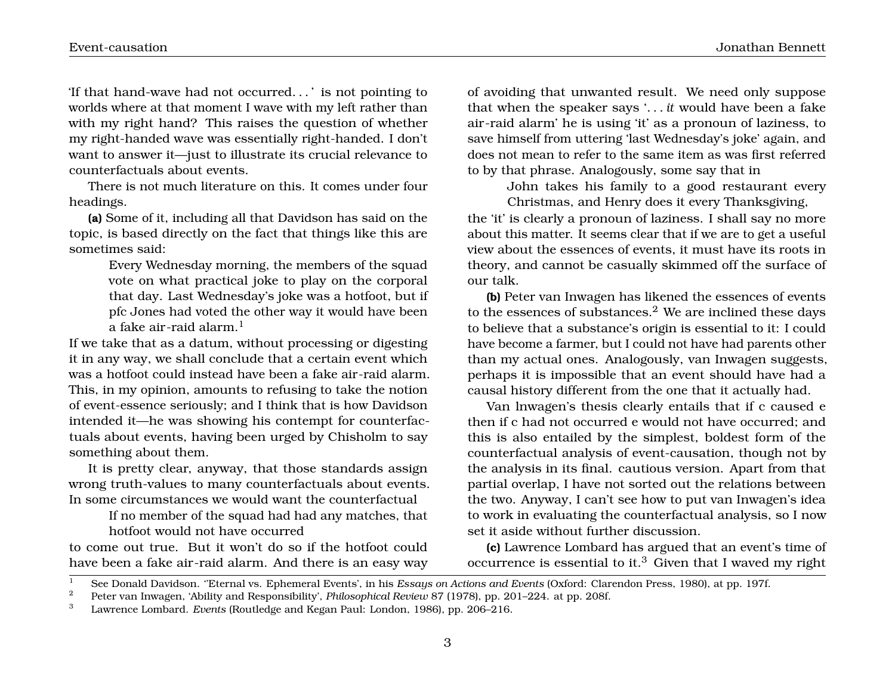Event-causation Jonathan Bennett

'If that hand-wave had not occurred. . . ' is not pointing to worlds where at that moment I wave with my left rather than with my right hand? This raises the question of whether my right-handed wave was essentially right-handed. I don't want to answer it—just to illustrate its crucial relevance to counterfactuals about events.

There is not much literature on this. It comes under four headings.

**(a)** Some of it, including all that Davidson has said on the topic, is based directly on the fact that things like this are sometimes said:

> Every Wednesday morning, the members of the squad vote on what practical joke to play on the corporal that day. Last Wednesday's joke was a hotfoot, but if pfc Jones had voted the other way it would have been a fake air-raid alarm. $<sup>1</sup>$ </sup>

If we take that as a datum, without processing or digesting it in any way, we shall conclude that a certain event which was a hotfoot could instead have been a fake air-raid alarm. This, in my opinion, amounts to refusing to take the notion of event-essence seriously; and I think that is how Davidson intended it—he was showing his contempt for counterfactuals about events, having been urged by Chisholm to say something about them.

It is pretty clear, anyway, that those standards assign wrong truth-values to many counterfactuals about events. In some circumstances we would want the counterfactual

> If no member of the squad had had any matches, that hotfoot would not have occurred

to come out true. But it won't do so if the hotfoot could have been a fake air-raid alarm. And there is an easy way of avoiding that unwanted result. We need only suppose that when the speaker says '. . . *it* would have been a fake air-raid alarm' he is using 'it' as a pronoun of laziness, to save himself from uttering 'last Wednesday's joke' again, and does not mean to refer to the same item as was first referred to by that phrase. Analogously, some say that in

> John takes his family to a good restaurant every Christmas, and Henry does it every Thanksgiving,

the 'it' is clearly a pronoun of laziness. I shall say no more about this matter. It seems clear that if we are to get a useful view about the essences of events, it must have its roots in theory, and cannot be casually skimmed off the surface of our talk.

**(b)** Peter van Inwagen has likened the essences of events to the essences of substances. $<sup>2</sup>$  We are inclined these days</sup> to believe that a substance's origin is essential to it: I could have become a farmer, but I could not have had parents other than my actual ones. Analogously, van Inwagen suggests, perhaps it is impossible that an event should have had a causal history different from the one that it actually had.

Van lnwagen's thesis clearly entails that if c caused e then if c had not occurred e would not have occurred; and this is also entailed by the simplest, boldest form of the counterfactual analysis of event-causation, though not by the analysis in its final. cautious version. Apart from that partial overlap, I have not sorted out the relations between the two. Anyway, I can't see how to put van Inwagen's idea to work in evaluating the counterfactual analysis, so I now set it aside without further discussion.

**(c)** Lawrence Lombard has argued that an event's time of occurrence is essential to it.<sup>3</sup> Given that I waved my right

<sup>1</sup> See Donald Davidson. "Eternal vs. Ephemeral Events', in his *Essays on Actions and Events* (Oxford: Clarendon Press, 1980), at pp. 197f.<br>Peterson Investor (Ability and Demonstitlity), Philagenhiarl Daviau 87 (1978), and

<sup>&</sup>lt;sup>2</sup> Peter van Inwagen, 'Ability and Responsibility', *Philosophical Review* 87 (1978), pp. 201–224. at pp. 208f.<br><sup>3</sup> Lemma a Laukard, Frank (Bouthelas and Kassa Bark Laudan, 1986), pp. 2006 816.

<sup>3</sup> Lawrence Lombard. *Events* (Routledge and Kegan Paul: London, 1986), pp. 206–216.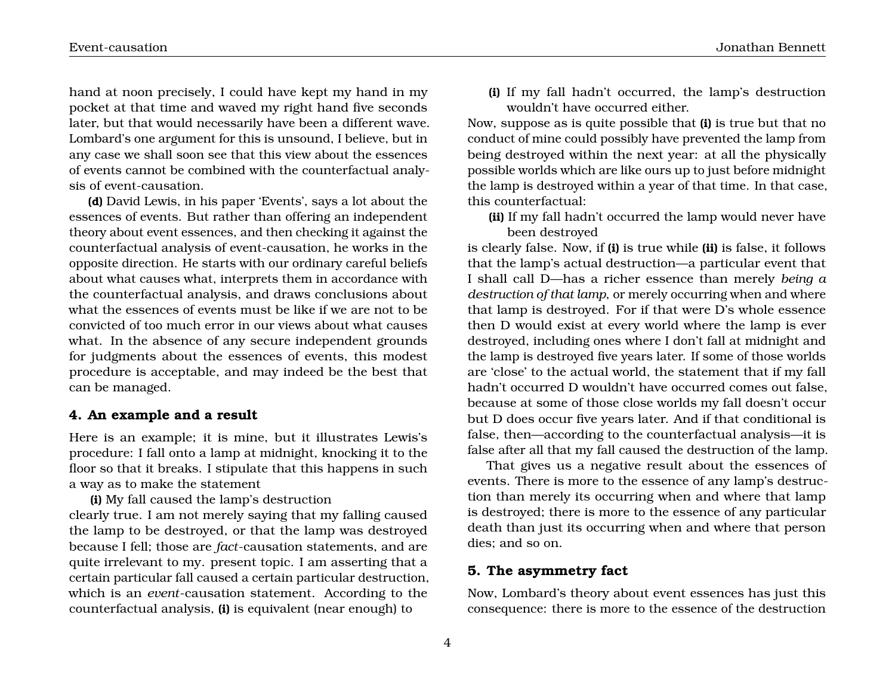hand at noon precisely, I could have kept my hand in my pocket at that time and waved my right hand five seconds later, but that would necessarily have been a different wave. Lombard's one argument for this is unsound, I believe, but in any case we shall soon see that this view about the essences of events cannot be combined with the counterfactual analysis of event-causation.

**(d)** David Lewis, in his paper 'Events', says a lot about the essences of events. But rather than offering an independent theory about event essences, and then checking it against the counterfactual analysis of event-causation, he works in the opposite direction. He starts with our ordinary careful beliefs about what causes what, interprets them in accordance with the counterfactual analysis, and draws conclusions about what the essences of events must be like if we are not to be convicted of too much error in our views about what causes what. In the absence of any secure independent grounds for judgments about the essences of events, this modest procedure is acceptable, and may indeed be the best that can be managed.

#### **4. An example and a result**

Here is an example; it is mine, but it illustrates Lewis's procedure: I fall onto a lamp at midnight, knocking it to the floor so that it breaks. I stipulate that this happens in such a way as to make the statement

**(i)** My fall caused the lamp's destruction clearly true. I am not merely saying that my falling caused the lamp to be destroyed, or that the lamp was destroyed because I fell; those are *fact*-causation statements, and are quite irrelevant to my. present topic. I am asserting that a certain particular fall caused a certain particular destruction, which is an *event*-causation statement. According to the counterfactual analysis, **(i)** is equivalent (near enough) to

**(i)** If my fall hadn't occurred, the lamp's destruction wouldn't have occurred either.

Now, suppose as is quite possible that **(i)** is true but that no conduct of mine could possibly have prevented the lamp from being destroyed within the next year: at all the physically possible worlds which are like ours up to just before midnight the lamp is destroyed within a year of that time. In that case, this counterfactual:

**(ii)** If my fall hadn't occurred the lamp would never have been destroyed

is clearly false. Now, if **(i)** is true while **(ii)** is false, it follows that the lamp's actual destruction—a particular event that I shall call D—has a richer essence than merely *being a destruction of that lamp*, or merely occurring when and where that lamp is destroyed. For if that were D's whole essence then D would exist at every world where the lamp is ever destroyed, including ones where I don't fall at midnight and the lamp is destroyed five years later. If some of those worlds are 'close' to the actual world, the statement that if my fall hadn't occurred D wouldn't have occurred comes out false, because at some of those close worlds my fall doesn't occur but D does occur five years later. And if that conditional is false, then—according to the counterfactual analysis—it is false after all that my fall caused the destruction of the lamp.

That gives us a negative result about the essences of events. There is more to the essence of any lamp's destruction than merely its occurring when and where that lamp is destroyed; there is more to the essence of any particular death than just its occurring when and where that person dies; and so on.

#### **5. The asymmetry fact**

Now, Lombard's theory about event essences has just this consequence: there is more to the essence of the destruction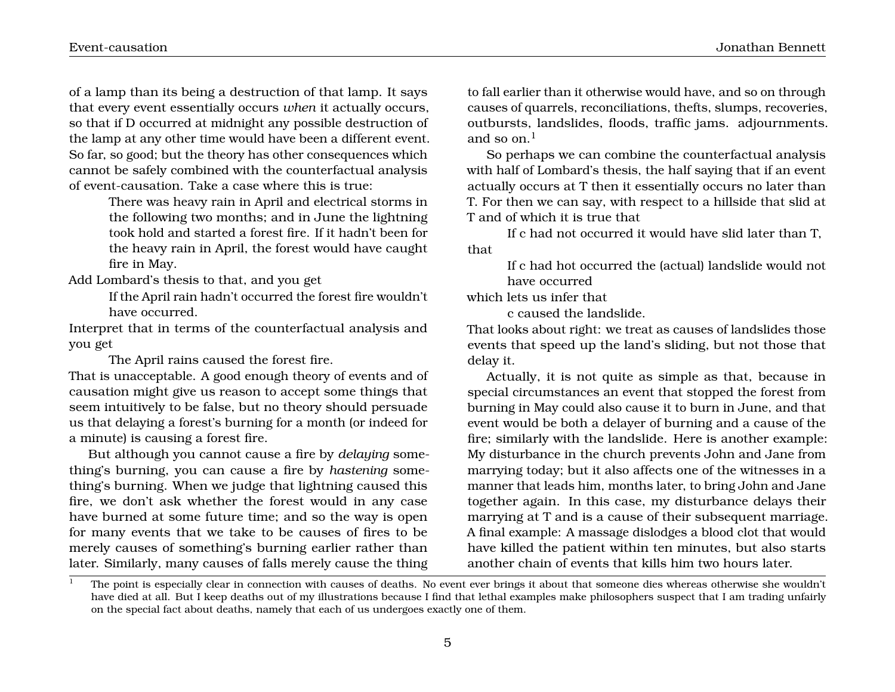of a lamp than its being a destruction of that lamp. It says that every event essentially occurs *when* it actually occurs, so that if D occurred at midnight any possible destruction of the lamp at any other time would have been a different event. So far, so good; but the theory has other consequences which cannot be safely combined with the counterfactual analysis of event-causation. Take a case where this is true:

> There was heavy rain in April and electrical storms in the following two months; and in June the lightning took hold and started a forest fire. If it hadn't been for the heavy rain in April, the forest would have caught fire in May.

Add Lombard's thesis to that, and you get

If the April rain hadn't occurred the forest fire wouldn't have occurred.

Interpret that in terms of the counterfactual analysis and you get

The April rains caused the forest fire.

That is unacceptable. A good enough theory of events and of causation might give us reason to accept some things that seem intuitively to be false, but no theory should persuade us that delaying a forest's burning for a month (or indeed for a minute) is causing a forest fire.

But although you cannot cause a fire by *delaying* something's burning, you can cause a fire by *hastening* something's burning. When we judge that lightning caused this fire, we don't ask whether the forest would in any case have burned at some future time; and so the way is open for many events that we take to be causes of fires to be merely causes of something's burning earlier rather than later. Similarly, many causes of falls merely cause the thing

to fall earlier than it otherwise would have, and so on through causes of quarrels, reconciliations, thefts, slumps, recoveries, outbursts, landslides, floods, traffic jams. adjournments. and so on. $<sup>1</sup>$ </sup>

So perhaps we can combine the counterfactual analysis with half of Lombard's thesis, the half saying that if an event actually occurs at T then it essentially occurs no later than T. For then we can say, with respect to a hillside that slid at T and of which it is true that

If c had not occurred it would have slid later than T, that

If c had hot occurred the (actual) landslide would not have occurred

which lets us infer that

c caused the landslide.

That looks about right: we treat as causes of landslides those events that speed up the land's sliding, but not those that delay it.

Actually, it is not quite as simple as that, because in special circumstances an event that stopped the forest from burning in May could also cause it to burn in June, and that event would be both a delayer of burning and a cause of the fire; similarly with the landslide. Here is another example: My disturbance in the church prevents John and Jane from marrying today; but it also affects one of the witnesses in a manner that leads him, months later, to bring John and Jane together again. In this case, my disturbance delays their marrying at T and is a cause of their subsequent marriage. A final example: A massage dislodges a blood clot that would have killed the patient within ten minutes, but also starts another chain of events that kills him two hours later.

<sup>&</sup>lt;sup>1</sup> The point is especially clear in connection with causes of deaths. No event ever brings it about that someone dies whereas otherwise she wouldn't have died at all. But I keep deaths out of my illustrations because I find that lethal examples make philosophers suspect that I am trading unfairly on the special fact about deaths, namely that each of us undergoes exactly one of them.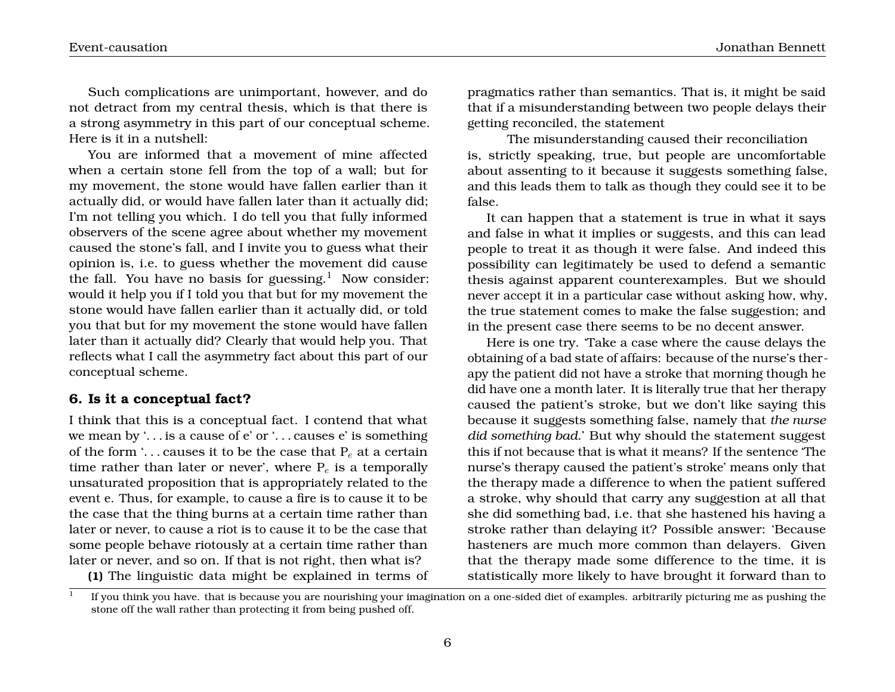Such complications are unimportant, however, and do not detract from my central thesis, which is that there is a strong asymmetry in this part of our conceptual scheme. Here is it in a nutshell:

You are informed that a movement of mine affected when a certain stone fell from the top of a wall; but for my movement, the stone would have fallen earlier than it actually did, or would have fallen later than it actually did; I'm not telling you which. I do tell you that fully informed observers of the scene agree about whether my movement caused the stone's fall, and I invite you to guess what their opinion is, i.e. to guess whether the movement did cause the fall. You have no basis for guessing.<sup>1</sup> Now consider: would it help you if I told you that but for my movement the stone would have fallen earlier than it actually did, or told you that but for my movement the stone would have fallen later than it actually did? Clearly that would help you. That reflects what I call the asymmetry fact about this part of our conceptual scheme.

### **6. Is it a conceptual fact?**

I think that this is a conceptual fact. I contend that what we mean by '. . . is a cause of e' or '. . . causes e' is something of the form '... causes it to be the case that  $P_e$  at a certain time rather than later or never', where  $P_e$  is a temporally unsaturated proposition that is appropriately related to the event e. Thus, for example, to cause a fire is to cause it to be the case that the thing burns at a certain time rather than later or never, to cause a riot is to cause it to be the case that some people behave riotously at a certain time rather than later or never, and so on. If that is not right, then what is?

**(1)** The linguistic data might be explained in terms of

pragmatics rather than semantics. That is, it might be said that if a misunderstanding between two people delays their getting reconciled, the statement

The misunderstanding caused their reconciliation is, strictly speaking, true, but people are uncomfortable about assenting to it because it suggests something false, and this leads them to talk as though they could see it to be false.

It can happen that a statement is true in what it says and false in what it implies or suggests, and this can lead people to treat it as though it were false. And indeed this possibility can legitimately be used to defend a semantic thesis against apparent counterexamples. But we should never accept it in a particular case without asking how, why, the true statement comes to make the false suggestion; and in the present case there seems to be no decent answer.

Here is one try. 'Take a case where the cause delays the obtaining of a bad state of affairs: because of the nurse's therapy the patient did not have a stroke that morning though he did have one a month later. It is literally true that her therapy caused the patient's stroke, but we don't like saying this because it suggests something false, namely that *the nurse did something bad*.' But why should the statement suggest this if not because that is what it means? If the sentence 'The nurse's therapy caused the patient's stroke' means only that the therapy made a difference to when the patient suffered a stroke, why should that carry any suggestion at all that she did something bad, i.e. that she hastened his having a stroke rather than delaying it? Possible answer: 'Because hasteners are much more common than delayers. Given that the therapy made some difference to the time, it is statistically more likely to have brought it forward than to

 $\overline{1}$ If you think you have. that is because you are nourishing your imagination on a one-sided diet of examples. arbitrarily picturing me as pushing the stone off the wall rather than protecting it from being pushed off.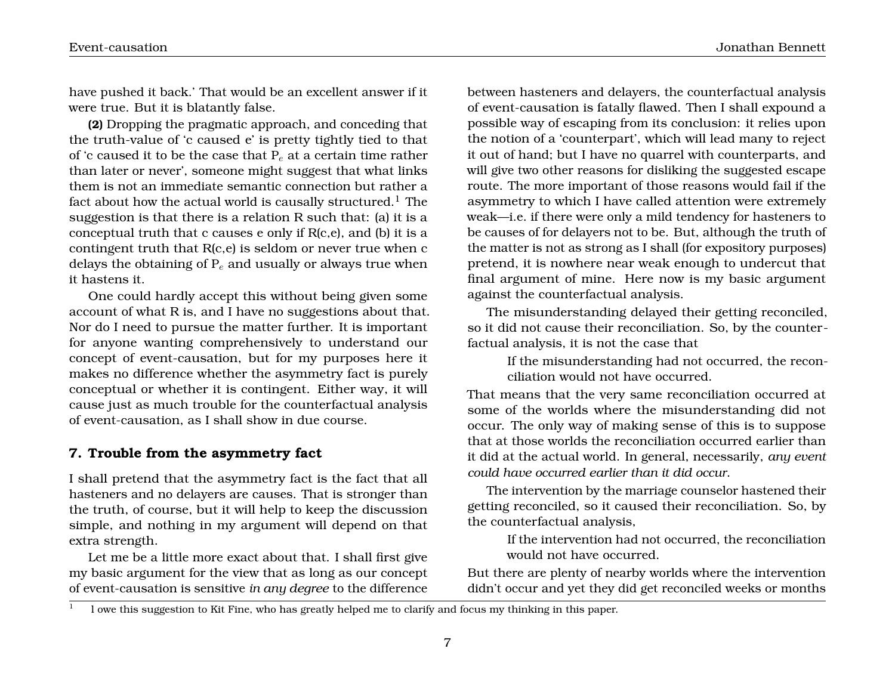have pushed it back.' That would be an excellent answer if it were true. But it is blatantly false.

**(2)** Dropping the pragmatic approach, and conceding that the truth-value of 'c caused e' is pretty tightly tied to that of 'c caused it to be the case that  $P_e$  at a certain time rather than later or never', someone might suggest that what links them is not an immediate semantic connection but rather a fact about how the actual world is causally structured.<sup>1</sup> The suggestion is that there is a relation R such that: (a) it is a conceptual truth that c causes e only if R(c,e), and (b) it is a contingent truth that R(c,e) is seldom or never true when c delays the obtaining of  $P_e$  and usually or always true when it hastens it.

One could hardly accept this without being given some account of what R is, and I have no suggestions about that. Nor do I need to pursue the matter further. It is important for anyone wanting comprehensively to understand our concept of event-causation, but for my purposes here it makes no difference whether the asymmetry fact is purely conceptual or whether it is contingent. Either way, it will cause just as much trouble for the counterfactual analysis of event-causation, as I shall show in due course.

#### **7. Trouble from the asymmetry fact**

I shall pretend that the asymmetry fact is the fact that all hasteners and no delayers are causes. That is stronger than the truth, of course, but it will help to keep the discussion simple, and nothing in my argument will depend on that extra strength.

Let me be a little more exact about that. I shall first give my basic argument for the view that as long as our concept of event-causation is sensitive *in any degree* to the difference

between hasteners and delayers, the counterfactual analysis of event-causation is fatally flawed. Then I shall expound a possible way of escaping from its conclusion: it relies upon the notion of a 'counterpart', which will lead many to reject it out of hand; but I have no quarrel with counterparts, and will give two other reasons for disliking the suggested escape route. The more important of those reasons would fail if the asymmetry to which I have called attention were extremely weak—i.e. if there were only a mild tendency for hasteners to be causes of for delayers not to be. But, although the truth of the matter is not as strong as I shall (for expository purposes) pretend, it is nowhere near weak enough to undercut that final argument of mine. Here now is my basic argument against the counterfactual analysis.

The misunderstanding delayed their getting reconciled, so it did not cause their reconciliation. So, by the counterfactual analysis, it is not the case that

> If the misunderstanding had not occurred, the reconciliation would not have occurred.

That means that the very same reconciliation occurred at some of the worlds where the misunderstanding did not occur. The only way of making sense of this is to suppose that at those worlds the reconciliation occurred earlier than it did at the actual world. In general, necessarily, *any event could have occurred earlier than it did occur*.

The intervention by the marriage counselor hastened their getting reconciled, so it caused their reconciliation. So, by the counterfactual analysis,

If the intervention had not occurred, the reconciliation would not have occurred.

But there are plenty of nearby worlds where the intervention didn't occur and yet they did get reconciled weeks or months

<sup>1</sup> l owe this suggestion to Kit Fine, who has greatly helped me to clarify and focus my thinking in this paper.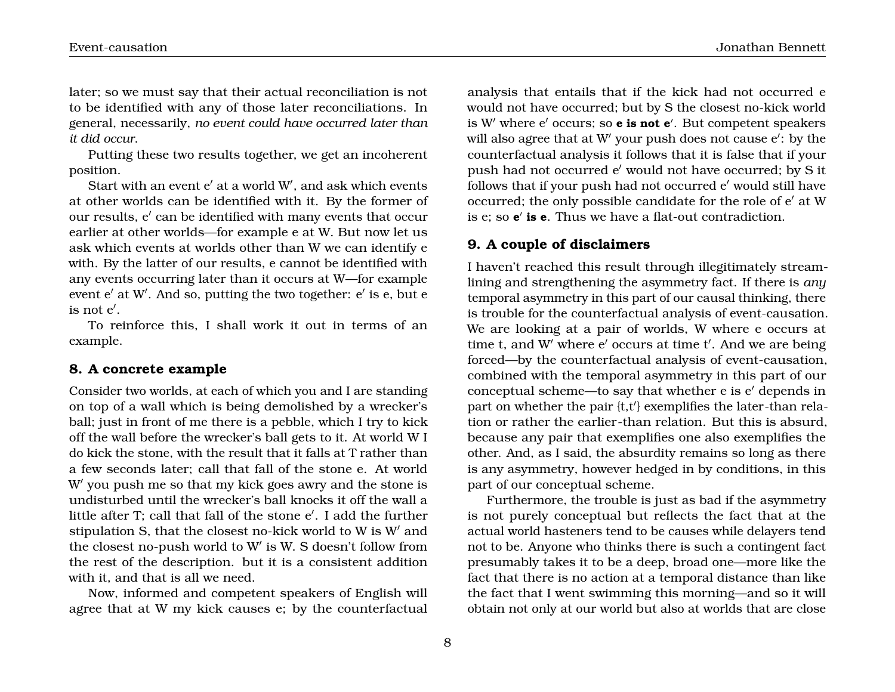later; so we must say that their actual reconciliation is not to be identified with any of those later reconciliations. In general, necessarily, *no event could have occurred later than it did occur*.

Putting these two results together, we get an incoherent position.

Start with an event e' at a world W', and ask which events at other worlds can be identified with it. By the former of our results,  $e'$  can be identified with many events that occur earlier at other worlds—for example e at W. But now let us ask which events at worlds other than W we can identify e with. By the latter of our results, e cannot be identified with any events occurring later than it occurs at W—for example event  $e'$  at W'. And so, putting the two together:  $e'$  is  $e$ , but  $e$ is not  $e'$ .

To reinforce this, I shall work it out in terms of an example.

#### **8. A concrete example**

Consider two worlds, at each of which you and I are standing on top of a wall which is being demolished by a wrecker's ball; just in front of me there is a pebble, which I try to kick off the wall before the wrecker's ball gets to it. At world W I do kick the stone, with the result that it falls at T rather than a few seconds later; call that fall of the stone e. At world  $W'$  you push me so that my kick goes awry and the stone is undisturbed until the wrecker's ball knocks it off the wall a little after T; call that fall of the stone  $e'$ . I add the further stipulation S, that the closest no-kick world to W is  $W'$  and the closest no-push world to W' is W. S doesn't follow from the rest of the description. but it is a consistent addition with it, and that is all we need.

Now, informed and competent speakers of English will agree that at W my kick causes e; by the counterfactual

analysis that entails that if the kick had not occurred e would not have occurred; but by S the closest no-kick world is W' where e' occurs; so **e is not e'**. But competent speakers will also agree that at  $W'$  your push does not cause  $e'$ : by the counterfactual analysis it follows that it is false that if your push had not occurred e' would not have occurred; by S it follows that if your push had not occurred  $e'$  would still have occurred; the only possible candidate for the role of  $e'$  at W is e; so **e' is e**. Thus we have a flat-out contradiction.

#### **9. A couple of disclaimers**

I haven't reached this result through illegitimately streamlining and strengthening the asymmetry fact. If there is *any* temporal asymmetry in this part of our causal thinking, there is trouble for the counterfactual analysis of event-causation. We are looking at a pair of worlds, W where e occurs at time t, and W' where e' occurs at time t'. And we are being forced—by the counterfactual analysis of event-causation, combined with the temporal asymmetry in this part of our conceptual scheme—to say that whether  $e$  is  $e'$  depends in part on whether the pair  $\{t,t'\}$  exemplifies the later-than relation or rather the earlier-than relation. But this is absurd, because any pair that exemplifies one also exemplifies the other. And, as I said, the absurdity remains so long as there is any asymmetry, however hedged in by conditions, in this part of our conceptual scheme.

Furthermore, the trouble is just as bad if the asymmetry is not purely conceptual but reflects the fact that at the actual world hasteners tend to be causes while delayers tend not to be. Anyone who thinks there is such a contingent fact presumably takes it to be a deep, broad one—more like the fact that there is no action at a temporal distance than like the fact that I went swimming this morning—and so it will obtain not only at our world but also at worlds that are close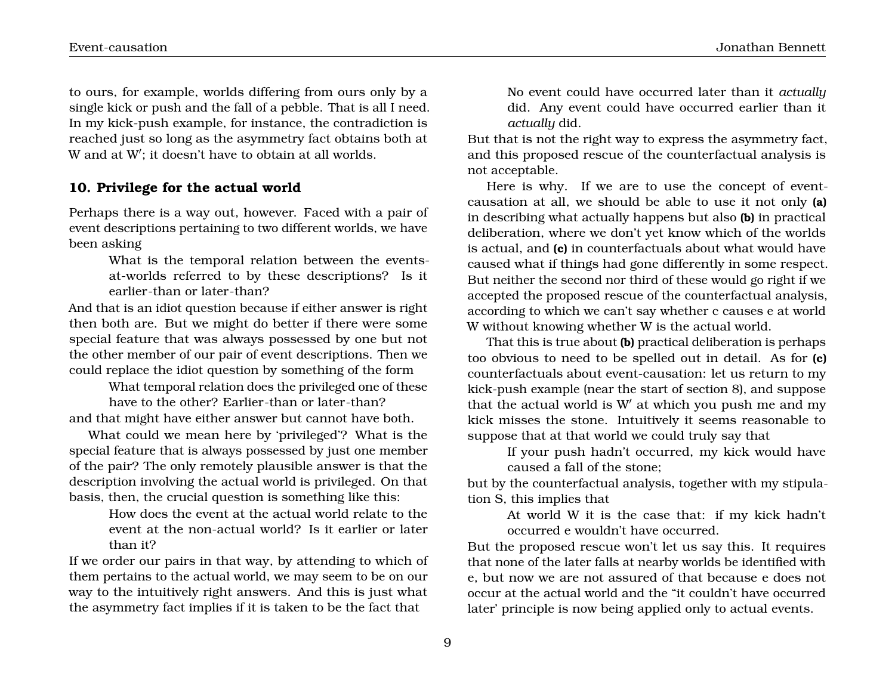to ours, for example, worlds differing from ours only by a single kick or push and the fall of a pebble. That is all I need. In my kick-push example, for instance, the contradiction is reached just so long as the asymmetry fact obtains both at W and at W'; it doesn't have to obtain at all worlds.

## **10. Privilege for the actual world**

Perhaps there is a way out, however. Faced with a pair of event descriptions pertaining to two different worlds, we have been asking

> What is the temporal relation between the eventsat-worlds referred to by these descriptions? Is it earlier-than or later-than?

And that is an idiot question because if either answer is right then both are. But we might do better if there were some special feature that was always possessed by one but not the other member of our pair of event descriptions. Then we could replace the idiot question by something of the form

> What temporal relation does the privileged one of these have to the other? Earlier-than or later-than?

and that might have either answer but cannot have both.

What could we mean here by 'privileged'? What is the special feature that is always possessed by just one member of the pair? The only remotely plausible answer is that the description involving the actual world is privileged. On that basis, then, the crucial question is something like this:

> How does the event at the actual world relate to the event at the non-actual world? Is it earlier or later than it?

If we order our pairs in that way, by attending to which of them pertains to the actual world, we may seem to be on our way to the intuitively right answers. And this is just what the asymmetry fact implies if it is taken to be the fact that

No event could have occurred later than it *actually* did. Any event could have occurred earlier than it *actually* did.

But that is not the right way to express the asymmetry fact, and this proposed rescue of the counterfactual analysis is not acceptable.

Here is why. If we are to use the concept of eventcausation at all, we should be able to use it not only **(a)** in describing what actually happens but also **(b)** in practical deliberation, where we don't yet know which of the worlds is actual, and **(c)** in counterfactuals about what would have caused what if things had gone differently in some respect. But neither the second nor third of these would go right if we accepted the proposed rescue of the counterfactual analysis, according to which we can't say whether c causes e at world W without knowing whether W is the actual world.

That this is true about **(b)** practical deliberation is perhaps too obvious to need to be spelled out in detail. As for **(c)** counterfactuals about event-causation: let us return to my kick-push example (near the start of section 8), and suppose that the actual world is  $W'$  at which you push me and my kick misses the stone. Intuitively it seems reasonable to suppose that at that world we could truly say that

If your push hadn't occurred, my kick would have caused a fall of the stone;

but by the counterfactual analysis, together with my stipulation S, this implies that

At world W it is the case that: if my kick hadn't occurred e wouldn't have occurred.

But the proposed rescue won't let us say this. It requires that none of the later falls at nearby worlds be identified with e, but now we are not assured of that because e does not occur at the actual world and the "it couldn't have occurred later' principle is now being applied only to actual events.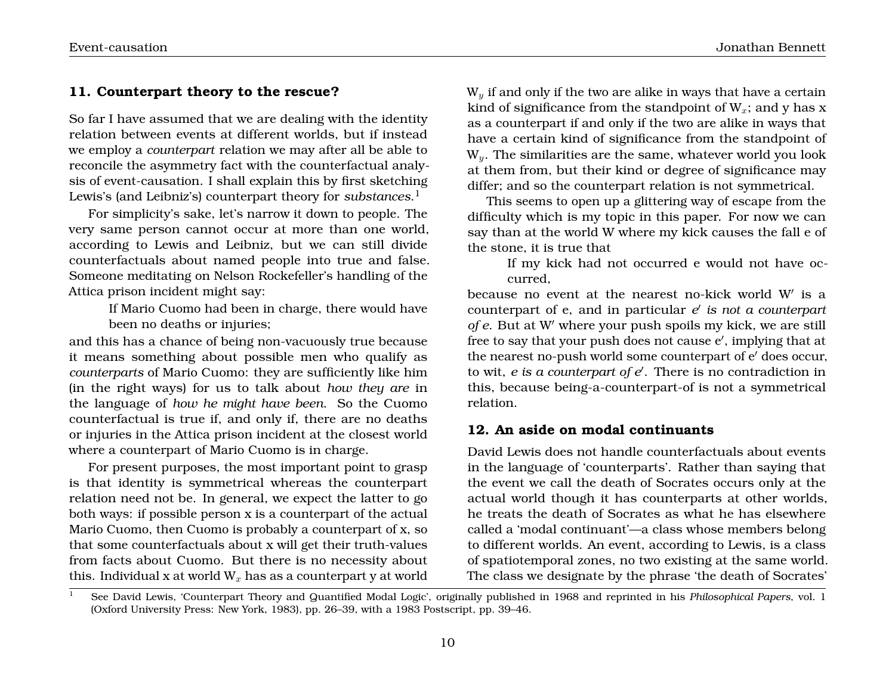## **11. Counterpart theory to the rescue?**

So far I have assumed that we are dealing with the identity relation between events at different worlds, but if instead we employ a *counterpart* relation we may after all be able to reconcile the asymmetry fact with the counterfactual analysis of event-causation. I shall explain this by first sketching Lewis's (and Leibniz's) counterpart theory for *substances*. 1

For simplicity's sake, let's narrow it down to people. The very same person cannot occur at more than one world, according to Lewis and Leibniz, but we can still divide counterfactuals about named people into true and false. Someone meditating on Nelson Rockefeller's handling of the Attica prison incident might say:

> If Mario Cuomo had been in charge, there would have been no deaths or injuries;

and this has a chance of being non-vacuously true because it means something about possible men who qualify as *counterparts* of Mario Cuomo: they are sufficiently like him (in the right ways) for us to talk about *how they are* in the language of *how he might have been*. So the Cuomo counterfactual is true if, and only if, there are no deaths or injuries in the Attica prison incident at the closest world where a counterpart of Mario Cuomo is in charge.

For present purposes, the most important point to grasp is that identity is symmetrical whereas the counterpart relation need not be. In general, we expect the latter to go both ways: if possible person x is a counterpart of the actual Mario Cuomo, then Cuomo is probably a counterpart of x, so that some counterfactuals about x will get their truth-values from facts about Cuomo. But there is no necessity about this. Individual x at world  $W_x$  has as a counterpart y at world

 $W<sub>y</sub>$  if and only if the two are alike in ways that have a certain kind of significance from the standpoint of  $W_r$ ; and y has x as a counterpart if and only if the two are alike in ways that have a certain kind of significance from the standpoint of  $W_y$ . The similarities are the same, whatever world you look at them from, but their kind or degree of significance may differ; and so the counterpart relation is not symmetrical.

This seems to open up a glittering way of escape from the difficulty which is my topic in this paper. For now we can say than at the world W where my kick causes the fall e of the stone, it is true that

If my kick had not occurred e would not have occurred,

because no event at the nearest no-kick world  $W'$  is a counterpart of e, and in particular *e'* is not a counterpart of e. But at W' where your push spoils my kick, we are still free to say that your push does not cause  $e'$ , implying that at the nearest no-push world some counterpart of  $e'$  does occur, to wit, *e is a counterpart of e'*. There is no contradiction in this, because being-a-counterpart-of is not a symmetrical relation.

## **12. An aside on modal continuants**

David Lewis does not handle counterfactuals about events in the language of 'counterparts'. Rather than saying that the event we call the death of Socrates occurs only at the actual world though it has counterparts at other worlds, he treats the death of Socrates as what he has elsewhere called a 'modal continuant'—a class whose members belong to different worlds. An event, according to Lewis, is a class of spatiotemporal zones, no two existing at the same world. The class we designate by the phrase 'the death of Socrates'

<sup>1</sup> See David Lewis, 'Counterpart Theory and Quantified Modal Logic', originally published in 1968 and reprinted in his *Philosophical Papers*, vol. 1 (Oxford University Press: New York, 1983), pp. 26–39, with a 1983 Postscript, pp. 39–46.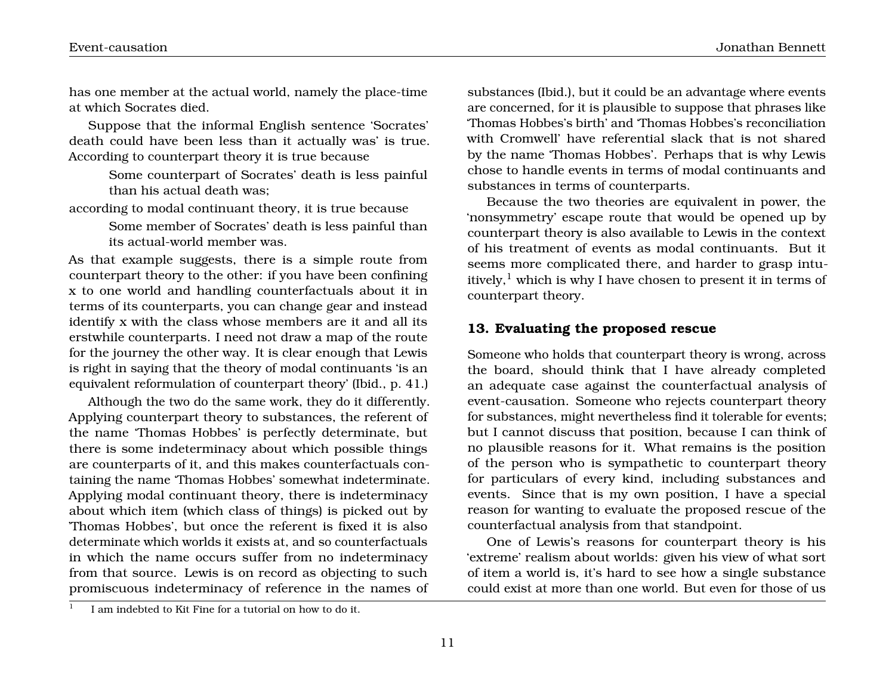has one member at the actual world, namely the place-time at which Socrates died.

Suppose that the informal English sentence 'Socrates' death could have been less than it actually was' is true. According to counterpart theory it is true because

> Some counterpart of Socrates' death is less painful than his actual death was;

according to modal continuant theory, it is true because

Some member of Socrates' death is less painful than its actual-world member was.

As that example suggests, there is a simple route from counterpart theory to the other: if you have been confining x to one world and handling counterfactuals about it in terms of its counterparts, you can change gear and instead identify x with the class whose members are it and all its erstwhile counterparts. I need not draw a map of the route for the journey the other way. It is clear enough that Lewis is right in saying that the theory of modal continuants 'is an equivalent reformulation of counterpart theory' (Ibid., p. 41.)

Although the two do the same work, they do it differently. Applying counterpart theory to substances, the referent of the name 'Thomas Hobbes' is perfectly determinate, but there is some indeterminacy about which possible things are counterparts of it, and this makes counterfactuals containing the name 'Thomas Hobbes' somewhat indeterminate. Applying modal continuant theory, there is indeterminacy about which item (which class of things) is picked out by 'Thomas Hobbes', but once the referent is fixed it is also determinate which worlds it exists at, and so counterfactuals in which the name occurs suffer from no indeterminacy from that source. Lewis is on record as objecting to such promiscuous indeterminacy of reference in the names of

substances (Ibid.), but it could be an advantage where events are concerned, for it is plausible to suppose that phrases like 'Thomas Hobbes's birth' and 'Thomas Hobbes's reconciliation with Cromwell' have referential slack that is not shared by the name 'Thomas Hobbes'. Perhaps that is why Lewis chose to handle events in terms of modal continuants and substances in terms of counterparts.

Because the two theories are equivalent in power, the 'nonsymmetry' escape route that would be opened up by counterpart theory is also available to Lewis in the context of his treatment of events as modal continuants. But it seems more complicated there, and harder to grasp intuitively, $<sup>1</sup>$  which is why I have chosen to present it in terms of</sup> counterpart theory.

## **13. Evaluating the proposed rescue**

Someone who holds that counterpart theory is wrong, across the board, should think that I have already completed an adequate case against the counterfactual analysis of event-causation. Someone who rejects counterpart theory for substances, might nevertheless find it tolerable for events; but I cannot discuss that position, because I can think of no plausible reasons for it. What remains is the position of the person who is sympathetic to counterpart theory for particulars of every kind, including substances and events. Since that is my own position, I have a special reason for wanting to evaluate the proposed rescue of the counterfactual analysis from that standpoint.

One of Lewis's reasons for counterpart theory is his 'extreme' realism about worlds: given his view of what sort of item a world is, it's hard to see how a single substance could exist at more than one world. But even for those of us

<sup>1</sup> I am indebted to Kit Fine for a tutorial on how to do it.